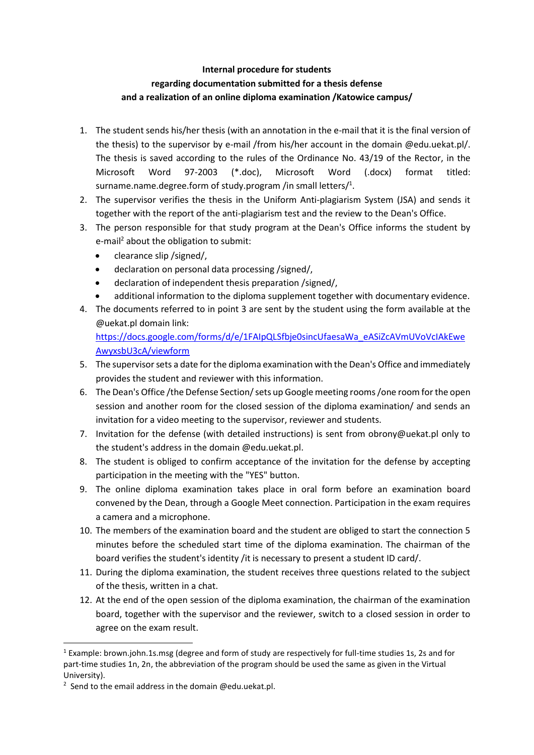## **Internal procedure for students regarding documentation submitted for a thesis defense and a realization of an online diploma examination /Katowice campus/**

- 1. The student sends his/her thesis (with an annotation in the e-mail that it is the final version of the thesis) to the supervisor by e-mail /from his/her account in the domain @edu.uekat.pl/. The thesis is saved according to the rules of the Ordinance No. 43/19 of the Rector, in the Microsoft Word 97-2003 (\*.doc), Microsoft Word (.docx) format titled: surname.name.degree.form of study.program /in small letters/<sup>1</sup>.
- 2. The supervisor verifies the thesis in the Uniform Anti-plagiarism System (JSA) and sends it together with the report of the anti-plagiarism test and the review to the Dean's Office.
- 3. The person responsible for that study program at the Dean's Office informs the student by e-mail<sup>2</sup> about the obligation to submit:
	- clearance slip /signed/,
	- declaration on personal data processing /signed/,
	- declaration of independent thesis preparation /signed/,
	- additional information to the diploma supplement together with documentary evidence.
- 4. The documents referred to in point 3 are sent by the student using the form available at the @uekat.pl domain link:

[https://docs.google.com/forms/d/e/1FAIpQLSfbje0sincUfaesaWa\\_eASiZcAVmUVoVcIAkEwe](https://docs.google.com/forms/d/e/1FAIpQLSfbje0sincUfaesaWa_eASiZcAVmUVoVcIAkEweAwyxsbU3cA/viewform) [AwyxsbU3cA/viewform](https://docs.google.com/forms/d/e/1FAIpQLSfbje0sincUfaesaWa_eASiZcAVmUVoVcIAkEweAwyxsbU3cA/viewform)

- 5. The supervisor sets a date for the diploma examination with the Dean's Office and immediately provides the student and reviewer with this information.
- 6. The Dean's Office /the Defense Section/ sets up Google meeting rooms /one room for the open session and another room for the closed session of the diploma examination/ and sends an invitation for a video meeting to the supervisor, reviewer and students.
- 7. Invitation for the defense (with detailed instructions) is sent from obrony@uekat.pl only to the student's address in the domain @edu.uekat.pl.
- 8. The student is obliged to confirm acceptance of the invitation for the defense by accepting participation in the meeting with the "YES" button.
- 9. The online diploma examination takes place in oral form before an examination board convened by the Dean, through a Google Meet connection. Participation in the exam requires a camera and a microphone.
- 10. The members of the examination board and the student are obliged to start the connection 5 minutes before the scheduled start time of the diploma examination. The chairman of the board verifies the student's identity /it is necessary to present a student ID card/.
- 11. During the diploma examination, the student receives three questions related to the subject of the thesis, written in a chat.
- 12. At the end of the open session of the diploma examination, the chairman of the examination board, together with the supervisor and the reviewer, switch to a closed session in order to agree on the exam result.

 $1$  Example: brown.john.1s.msg (degree and form of study are respectively for full-time studies 1s, 2s and for part-time studies 1n, 2n, the abbreviation of the program should be used the same as given in the Virtual University).

<sup>&</sup>lt;sup>2</sup> Send to the email address in the domain @edu.uekat.pl.